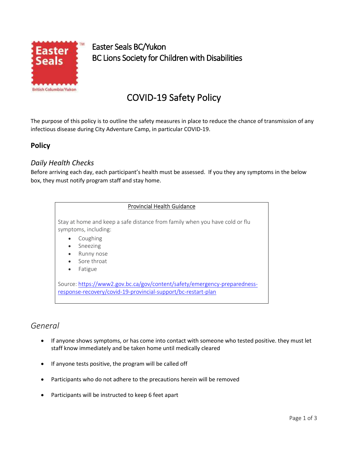

Easter Sun Easter Seals BC/Yukon BC Lions Society for Children with Disabilities

# COVID-19 Safety Policy

The purpose of this policy is to outline the safety measures in place to reduce the chance of transmission of any infectious disease during City Adventure Camp, in particular COVID-19.

# **Policy**

### *Daily Health Checks*

Before arriving each day, each participant's health must be assessed. If you they any symptoms in the below box, they must notify program staff and stay home.

#### Provincial Health Guidance

Stay at home and keep a safe distance from family when you have cold or flu symptoms, including:

- Coughing
- **Sneezing**
- Runny nose
- Sore throat
- Fatigue

Source: [https://www2.gov.bc.ca/gov/content/safety/emergency-preparedness](about:blank)[response-recovery/covid-19-provincial-support/bc-restart-plan](about:blank)

# *General*

- If anyone shows symptoms, or has come into contact with someone who tested positive. they must let staff know immediately and be taken home until medically cleared
- If anyone tests positive, the program will be called off
- Participants who do not adhere to the precautions herein will be removed
- Participants will be instructed to keep 6 feet apart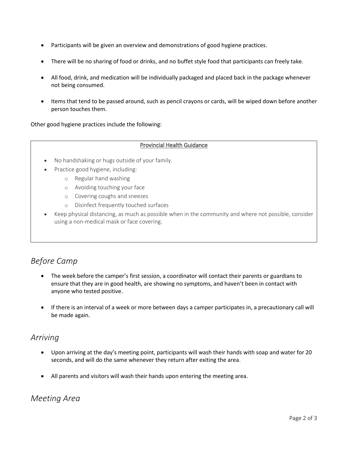- Participants will be given an overview and demonstrations of good hygiene practices.
- There will be no sharing of food or drinks, and no buffet style food that participants can freely take.
- All food, drink, and medication will be individually packaged and placed back in the package whenever not being consumed.
- Items that tend to be passed around, such as pencil crayons or cards, will be wiped down before another person touches them.

Other good hygiene practices include the following:

#### Provincial Health Guidance

- No handshaking or hugs outside of your family.
- Practice good hygiene, including:
	- o Regular hand washing
	- o Avoiding touching your face
	- o Covering coughs and sneezes
	- o Disinfect frequently touched surfaces
- Keep physical distancing, as much as possible when in the community and where not possible, consider using a non-medical mask or face covering.

# *Before Camp*

- The week before the camper's first session, a coordinator will contact their parents or guardians to ensure that they are in good health, are showing no symptoms, and haven't been in contact with anyone who tested positive.
- If there is an interval of a week or more between days a camper participates in, a precautionary call will be made again.

# *Arriving*

- Upon arriving at the day's meeting point, participants will wash their hands with soap and water for 20 seconds, and will do the same whenever they return after exiting the area.
- All parents and visitors will wash their hands upon entering the meeting area.

# *Meeting Area*